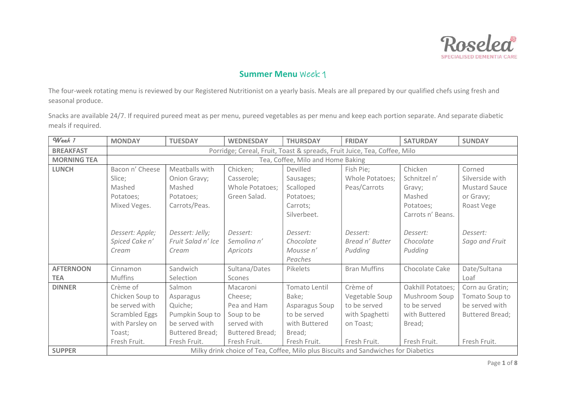

The four-week rotating menu is reviewed by our Registered Nutritionist on a yearly basis. Meals are all prepared by our qualified chefs using fresh and seasonal produce.

| Week 1             | <b>MONDAY</b>                                                            | <b>TUESDAY</b>         | <b>WEDNESDAY</b> | <b>THURSDAY</b> | <b>FRIDAY</b>                                                                      | <b>SATURDAY</b>   | <b>SUNDAY</b>          |  |  |  |
|--------------------|--------------------------------------------------------------------------|------------------------|------------------|-----------------|------------------------------------------------------------------------------------|-------------------|------------------------|--|--|--|
| <b>BREAKFAST</b>   | Porridge; Cereal, Fruit, Toast & spreads, Fruit Juice, Tea, Coffee, Milo |                        |                  |                 |                                                                                    |                   |                        |  |  |  |
| <b>MORNING TEA</b> | Tea, Coffee, Milo and Home Baking                                        |                        |                  |                 |                                                                                    |                   |                        |  |  |  |
| <b>LUNCH</b>       | Bacon n' Cheese                                                          | Meatballs with         | Chicken;         | Devilled        | Fish Pie;                                                                          | Chicken           | Corned                 |  |  |  |
|                    | Slice;                                                                   | Onion Gravy;           | Casserole;       | Sausages;       | Whole Potatoes;                                                                    | Schnitzel n'      | Silverside with        |  |  |  |
|                    | Mashed                                                                   | Mashed                 | Whole Potatoes;  | Scalloped       | Peas/Carrots                                                                       | Gravy;            | <b>Mustard Sauce</b>   |  |  |  |
|                    | Potatoes;                                                                | Potatoes;              | Green Salad.     | Potatoes;       |                                                                                    | Mashed            | or Gravy;              |  |  |  |
|                    | Mixed Veges.                                                             | Carrots/Peas.          |                  | Carrots:        |                                                                                    | Potatoes;         | Roast Vege             |  |  |  |
|                    |                                                                          |                        |                  | Silverbeet.     |                                                                                    | Carrots n' Beans. |                        |  |  |  |
|                    |                                                                          |                        |                  |                 |                                                                                    |                   |                        |  |  |  |
|                    | Dessert: Apple;                                                          | Dessert: Jelly;        | Dessert:         | Dessert:        | Dessert:                                                                           | Dessert:          | Dessert:               |  |  |  |
|                    | Spiced Cake n'                                                           | Fruit Salad n' Ice     | Semolina n'      | Chocolate       | Bread n' Butter                                                                    | Chocolate         | Sago and Fruit         |  |  |  |
|                    | Cream                                                                    | Cream                  | Apricots         | Mousse n'       | Pudding                                                                            | Pudding           |                        |  |  |  |
|                    |                                                                          |                        |                  | Peaches         |                                                                                    |                   |                        |  |  |  |
| <b>AFTERNOON</b>   | Cinnamon                                                                 | Sandwich               | Sultana/Dates    | Pikelets        | <b>Bran Muffins</b>                                                                | Chocolate Cake    | Date/Sultana           |  |  |  |
| <b>TEA</b>         | <b>Muffins</b>                                                           | Selection              | Scones           |                 |                                                                                    |                   | Loaf                   |  |  |  |
| <b>DINNER</b>      | Crème of                                                                 | Salmon                 | Macaroni         | Tomato Lentil   | Crème of                                                                           | Oakhill Potatoes; | Corn au Gratin;        |  |  |  |
|                    | Chicken Soup to                                                          | Asparagus              | Cheese;          | Bake;           | Vegetable Soup                                                                     | Mushroom Soup     | Tomato Soup to         |  |  |  |
|                    | be served with                                                           | Quiche;                | Pea and Ham      | Asparagus Soup  | to be served                                                                       | to be served      | be served with         |  |  |  |
|                    | <b>Scrambled Eggs</b>                                                    | Pumpkin Soup to        | Soup to be       | to be served    | with Spaghetti                                                                     | with Buttered     | <b>Buttered Bread:</b> |  |  |  |
|                    | with Parsley on                                                          | be served with         | served with      | with Buttered   | on Toast;                                                                          | Bread;            |                        |  |  |  |
|                    | Toast;                                                                   | <b>Buttered Bread;</b> | Buttered Bread;  | Bread;          |                                                                                    |                   |                        |  |  |  |
|                    | Fresh Fruit.                                                             | Fresh Fruit.           | Fresh Fruit.     | Fresh Fruit.    | Fresh Fruit.                                                                       | Fresh Fruit.      | Fresh Fruit.           |  |  |  |
| <b>SUPPER</b>      |                                                                          |                        |                  |                 | Milky drink choice of Tea, Coffee, Milo plus Biscuits and Sandwiches for Diabetics |                   |                        |  |  |  |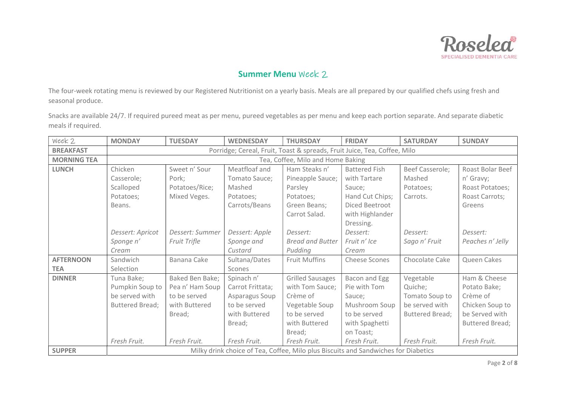

The four-week rotating menu is reviewed by our Registered Nutritionist on a yearly basis. Meals are all prepared by our qualified chefs using fresh and seasonal produce.

| Week 2             | <b>MONDAY</b>                                                            | <b>TUESDAY</b>  | <b>WEDNESDAY</b> | <b>THURSDAY</b>                                                                    | <b>FRIDAY</b>        | <b>SATURDAY</b>        | <b>SUNDAY</b>          |  |  |  |
|--------------------|--------------------------------------------------------------------------|-----------------|------------------|------------------------------------------------------------------------------------|----------------------|------------------------|------------------------|--|--|--|
| <b>BREAKFAST</b>   | Porridge; Cereal, Fruit, Toast & spreads, Fruit Juice, Tea, Coffee, Milo |                 |                  |                                                                                    |                      |                        |                        |  |  |  |
| <b>MORNING TEA</b> | Tea, Coffee, Milo and Home Baking                                        |                 |                  |                                                                                    |                      |                        |                        |  |  |  |
| <b>LUNCH</b>       | Chicken                                                                  | Sweet n' Sour   | Meatfloaf and    | Ham Steaks n'                                                                      | <b>Battered Fish</b> | Beef Casserole;        | Roast Bolar Beef       |  |  |  |
|                    | Casserole;                                                               | Pork;           | Tomato Sauce;    | Pineapple Sauce;                                                                   | with Tartare         | Mashed                 | n' Gravy;              |  |  |  |
|                    | Scalloped                                                                | Potatoes/Rice;  | Mashed           | Parsley                                                                            | Sauce;               | Potatoes:              | Roast Potatoes;        |  |  |  |
|                    | Potatoes;                                                                | Mixed Veges.    | Potatoes;        | Potatoes;                                                                          | Hand Cut Chips;      | Carrots.               | Roast Carrots;         |  |  |  |
|                    | Beans.                                                                   |                 | Carrots/Beans    | Green Beans;                                                                       | Diced Beetroot       |                        | Greens                 |  |  |  |
|                    |                                                                          |                 |                  | Carrot Salad.                                                                      | with Highlander      |                        |                        |  |  |  |
|                    |                                                                          |                 |                  |                                                                                    | Dressing.            |                        |                        |  |  |  |
|                    | Dessert: Apricot                                                         | Dessert: Summer | Dessert: Apple   | Dessert:                                                                           | Dessert:             | Dessert:               | Dessert:               |  |  |  |
|                    | Sponge n'                                                                | Fruit Trifle    | Sponge and       | <b>Bread and Butter</b>                                                            | Fruit n' Ice         | Sago n' Fruit          | Peaches n' Jelly       |  |  |  |
|                    | Cream                                                                    |                 | Custard          | Pudding                                                                            | Cream                |                        |                        |  |  |  |
| <b>AFTERNOON</b>   | Sandwich                                                                 | Banana Cake     | Sultana/Dates    | <b>Fruit Muffins</b>                                                               | <b>Cheese Scones</b> | Chocolate Cake         | Queen Cakes            |  |  |  |
| <b>TEA</b>         | Selection                                                                |                 | Scones           |                                                                                    |                      |                        |                        |  |  |  |
| <b>DINNER</b>      | Tuna Bake;                                                               | Baked Ben Bake; | Spinach n'       | <b>Grilled Sausages</b>                                                            | Bacon and Egg        | Vegetable              | Ham & Cheese           |  |  |  |
|                    | Pumpkin Soup to                                                          | Pea n' Ham Soup | Carrot Frittata; | with Tom Sauce;                                                                    | Pie with Tom         | Quiche;                | Potato Bake;           |  |  |  |
|                    | be served with                                                           | to be served    | Asparagus Soup   | Crème of                                                                           | Sauce;               | Tomato Soup to         | Crème of               |  |  |  |
|                    | <b>Buttered Bread;</b>                                                   | with Buttered   | to be served     | Vegetable Soup                                                                     | Mushroom Soup        | be served with         | Chicken Soup to        |  |  |  |
|                    |                                                                          | Bread;          | with Buttered    | to be served                                                                       | to be served         | <b>Buttered Bread;</b> | be Served with         |  |  |  |
|                    |                                                                          |                 | Bread;           | with Buttered                                                                      | with Spaghetti       |                        | <b>Buttered Bread;</b> |  |  |  |
|                    |                                                                          |                 |                  | Bread;                                                                             | on Toast;            |                        |                        |  |  |  |
|                    | Fresh Fruit.                                                             | Fresh Fruit.    | Fresh Fruit.     | Fresh Fruit.                                                                       | Fresh Fruit.         | Fresh Fruit.           | Fresh Fruit.           |  |  |  |
| <b>SUPPER</b>      |                                                                          |                 |                  | Milky drink choice of Tea, Coffee, Milo plus Biscuits and Sandwiches for Diabetics |                      |                        |                        |  |  |  |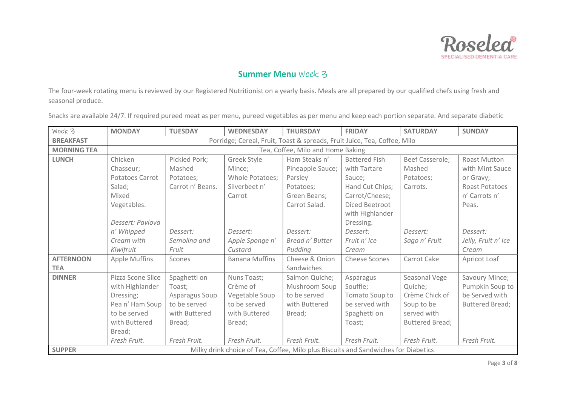

The four-week rotating menu is reviewed by our Registered Nutritionist on a yearly basis. Meals are all prepared by our qualified chefs using fresh and seasonal produce.

| Week 3             | <b>MONDAY</b>                                                            | <b>TUESDAY</b>   | <b>WEDNESDAY</b>      | <b>THURSDAY</b>                                                                    | <b>FRIDAY</b>        | <b>SATURDAY</b> | <b>SUNDAY</b>          |  |  |  |
|--------------------|--------------------------------------------------------------------------|------------------|-----------------------|------------------------------------------------------------------------------------|----------------------|-----------------|------------------------|--|--|--|
| <b>BREAKFAST</b>   | Porridge; Cereal, Fruit, Toast & spreads, Fruit Juice, Tea, Coffee, Milo |                  |                       |                                                                                    |                      |                 |                        |  |  |  |
| <b>MORNING TEA</b> | Tea, Coffee, Milo and Home Baking                                        |                  |                       |                                                                                    |                      |                 |                        |  |  |  |
| <b>LUNCH</b>       | Chicken                                                                  | Pickled Pork;    | Greek Style           | Ham Steaks n'                                                                      | <b>Battered Fish</b> | Beef Casserole; | <b>Roast Mutton</b>    |  |  |  |
|                    | Chasseur;                                                                | Mashed           | Mince;                | Pineapple Sauce;                                                                   | with Tartare         | Mashed          | with Mint Sauce        |  |  |  |
|                    | Potatoes Carrot                                                          | Potatoes;        | Whole Potatoes;       | Parsley                                                                            | Sauce;               | Potatoes;       | or Gravy;              |  |  |  |
|                    | Salad;                                                                   | Carrot n' Beans. | Silverbeet n'         | Potatoes;                                                                          | Hand Cut Chips;      | Carrots.        | <b>Roast Potatoes</b>  |  |  |  |
|                    | Mixed                                                                    |                  | Carrot                | Green Beans;                                                                       | Carrot/Cheese;       |                 | n' Carrots n'          |  |  |  |
|                    | Vegetables.                                                              |                  |                       | Carrot Salad.                                                                      | Diced Beetroot       |                 | Peas.                  |  |  |  |
|                    |                                                                          |                  |                       |                                                                                    | with Highlander      |                 |                        |  |  |  |
|                    | Dessert: Pavlova                                                         |                  |                       |                                                                                    | Dressing.            |                 |                        |  |  |  |
|                    | n' Whipped                                                               | Dessert:         | Dessert:              | Dessert:                                                                           | Dessert:             | Dessert:        | Dessert:               |  |  |  |
|                    | Cream with                                                               | Semolina and     | Apple Sponge n'       | Bread n' Butter                                                                    | Fruit n' Ice         | Sago n' Fruit   | Jelly, Fruit n' Ice    |  |  |  |
|                    | Kiwifruit                                                                | Fruit            | Custard               | Pudding                                                                            | Cream                |                 | Cream                  |  |  |  |
| <b>AFTERNOON</b>   | <b>Apple Muffins</b>                                                     | Scones           | <b>Banana Muffins</b> | Cheese & Onion                                                                     | <b>Cheese Scones</b> | Carrot Cake     | Apricot Loaf           |  |  |  |
| <b>TEA</b>         |                                                                          |                  |                       | Sandwiches                                                                         |                      |                 |                        |  |  |  |
| <b>DINNER</b>      | Pizza Scone Slice                                                        | Spaghetti on     | Nuns Toast;           | Salmon Quiche;                                                                     | Asparagus            | Seasonal Vege   | Savoury Mince;         |  |  |  |
|                    | with Highlander                                                          | Toast:           | Crème of              | Mushroom Soup                                                                      | Souffle;             | Quiche;         | Pumpkin Soup to        |  |  |  |
|                    | Dressing;                                                                | Asparagus Soup   | Vegetable Soup        | to be served                                                                       | Tomato Soup to       | Crème Chick of  | be Served with         |  |  |  |
|                    | Pea n' Ham Soup                                                          | to be served     | to be served          | with Buttered                                                                      | be served with       | Soup to be      | <b>Buttered Bread;</b> |  |  |  |
|                    | to be served                                                             | with Buttered    | with Buttered         | Bread;                                                                             | Spaghetti on         | served with     |                        |  |  |  |
|                    | with Buttered                                                            | Bread;           | Bread;                |                                                                                    | Toast;               | Buttered Bread; |                        |  |  |  |
|                    | Bread;                                                                   |                  |                       |                                                                                    |                      |                 |                        |  |  |  |
|                    | Fresh Fruit.                                                             | Fresh Fruit.     | Fresh Fruit.          | Fresh Fruit.                                                                       | Fresh Fruit.         | Fresh Fruit.    | Fresh Fruit.           |  |  |  |
| <b>SUPPER</b>      |                                                                          |                  |                       | Milky drink choice of Tea, Coffee, Milo plus Biscuits and Sandwiches for Diabetics |                      |                 |                        |  |  |  |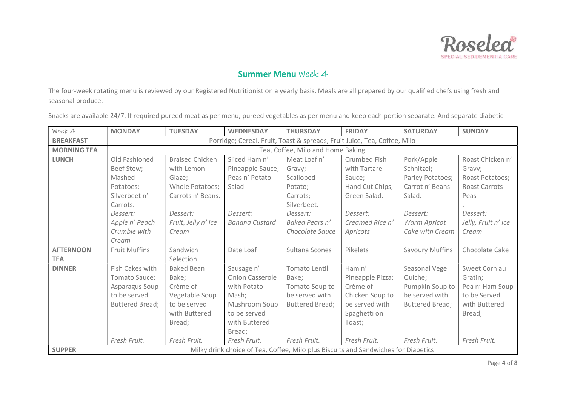

The four-week rotating menu is reviewed by our Registered Nutritionist on a yearly basis. Meals are all prepared by our qualified chefs using fresh and seasonal produce.

| Week 4             | <b>MONDAY</b>                                                            | <b>TUESDAY</b>         | <b>WEDNESDAY</b>                                                                   | <b>THURSDAY</b>        | <b>FRIDAY</b>    | <b>SATURDAY</b>        | <b>SUNDAY</b>       |  |  |  |
|--------------------|--------------------------------------------------------------------------|------------------------|------------------------------------------------------------------------------------|------------------------|------------------|------------------------|---------------------|--|--|--|
| <b>BREAKFAST</b>   | Porridge; Cereal, Fruit, Toast & spreads, Fruit Juice, Tea, Coffee, Milo |                        |                                                                                    |                        |                  |                        |                     |  |  |  |
| <b>MORNING TEA</b> | Tea, Coffee, Milo and Home Baking                                        |                        |                                                                                    |                        |                  |                        |                     |  |  |  |
| <b>LUNCH</b>       | Old Fashioned                                                            | <b>Braised Chicken</b> | Sliced Ham n'                                                                      | Meat Loaf n'           | Crumbed Fish     | Pork/Apple             | Roast Chicken n'    |  |  |  |
|                    | Beef Stew;                                                               | with Lemon             | Pineapple Sauce;                                                                   | Gravy;                 | with Tartare     | Schnitzel;             | Gravy;              |  |  |  |
|                    | Mashed                                                                   | Glaze:                 | Peas n' Potato                                                                     | Scalloped              | Sauce;           | Parley Potatoes;       | Roast Potatoes;     |  |  |  |
|                    | Potatoes;                                                                | Whole Potatoes;        | Salad                                                                              | Potato;                | Hand Cut Chips;  | Carrot n' Beans        | Roast Carrots       |  |  |  |
|                    | Silverbeet n'                                                            | Carrots n' Beans.      |                                                                                    | Carrots;               | Green Salad.     | Salad.                 | Peas                |  |  |  |
|                    | Carrots.                                                                 |                        |                                                                                    | Silverbeet.            |                  |                        |                     |  |  |  |
|                    | Dessert:                                                                 | Dessert:               | Dessert:                                                                           | Dessert:               | Dessert:         | Dessert:               | Dessert:            |  |  |  |
|                    | Apple n' Peach                                                           | Fruit, Jelly n' Ice    | <b>Banana Custard</b>                                                              | Baked Pears n'         | Creamed Rice n'  | Warm Apricot           | Jelly, Fruit n' Ice |  |  |  |
|                    | Crumble with                                                             | Cream                  |                                                                                    | Chocolate Sauce        | Apricots         | Cake with Cream        | Cream               |  |  |  |
|                    | Cream                                                                    |                        |                                                                                    |                        |                  |                        |                     |  |  |  |
| <b>AFTERNOON</b>   | Fruit Muffins                                                            | Sandwich               | Date Loaf                                                                          | Sultana Scones         | Pikelets         | <b>Savoury Muffins</b> | Chocolate Cake      |  |  |  |
| <b>TEA</b>         |                                                                          | Selection              |                                                                                    |                        |                  |                        |                     |  |  |  |
| <b>DINNER</b>      | Fish Cakes with                                                          | <b>Baked Bean</b>      | Sausage n'                                                                         | Tomato Lentil          | Ham n'           | Seasonal Vege          | Sweet Corn au       |  |  |  |
|                    | Tomato Sauce;                                                            | Bake;                  | <b>Onion Casserole</b>                                                             | Bake;                  | Pineapple Pizza; | Quiche;                | Gratin;             |  |  |  |
|                    | Asparagus Soup                                                           | Crème of               | with Potato                                                                        | Tomato Soup to         | Crème of         | Pumpkin Soup to        | Pea n' Ham Soup     |  |  |  |
|                    | to be served                                                             | Vegetable Soup         | Mash;                                                                              | be served with         | Chicken Soup to  | be served with         | to be Served        |  |  |  |
|                    | Buttered Bread;                                                          | to be served           | Mushroom Soup                                                                      | <b>Buttered Bread;</b> | be served with   | Buttered Bread;        | with Buttered       |  |  |  |
|                    |                                                                          | with Buttered          | to be served                                                                       |                        | Spaghetti on     |                        | Bread;              |  |  |  |
|                    |                                                                          | Bread:                 | with Buttered                                                                      |                        | Toast;           |                        |                     |  |  |  |
|                    |                                                                          |                        | Bread;                                                                             |                        |                  |                        |                     |  |  |  |
|                    | Fresh Fruit.                                                             | Fresh Fruit.           | Fresh Fruit.                                                                       | Fresh Fruit.           | Fresh Fruit.     | Fresh Fruit.           | Fresh Fruit.        |  |  |  |
| <b>SUPPER</b>      |                                                                          |                        | Milky drink choice of Tea, Coffee, Milo plus Biscuits and Sandwiches for Diabetics |                        |                  |                        |                     |  |  |  |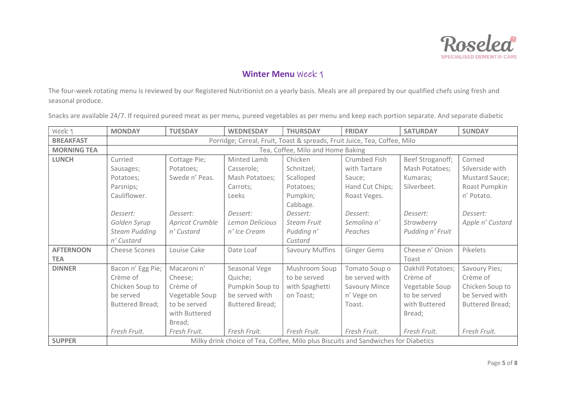

The four-week rotating menu is reviewed by our Registered Nutritionist on a yearly basis. Meals are all prepared by our qualified chefs using fresh and seasonal produce.

| Week 1             | <b>MONDAY</b>                                                            | <b>TUESDAY</b>  | <b>WEDNESDAY</b>                                                                   | <b>THURSDAY</b>        | <b>FRIDAY</b>      | <b>SATURDAY</b>   | <b>SUNDAY</b>          |  |  |  |
|--------------------|--------------------------------------------------------------------------|-----------------|------------------------------------------------------------------------------------|------------------------|--------------------|-------------------|------------------------|--|--|--|
| <b>BREAKFAST</b>   | Porridge; Cereal, Fruit, Toast & spreads, Fruit Juice, Tea, Coffee, Milo |                 |                                                                                    |                        |                    |                   |                        |  |  |  |
| <b>MORNING TEA</b> | Tea, Coffee, Milo and Home Baking                                        |                 |                                                                                    |                        |                    |                   |                        |  |  |  |
| <b>LUNCH</b>       | Curried                                                                  | Cottage Pie;    | Minted Lamb                                                                        | Chicken                | Crumbed Fish       | Beef Stroganoff;  | Corned                 |  |  |  |
|                    | Sausages;                                                                | Potatoes;       | Casserole;                                                                         | Schnitzel;             | with Tartare       | Mash Potatoes;    | Silverside with        |  |  |  |
|                    | Potatoes;                                                                | Swede n' Peas.  | Mash Potatoes;                                                                     | Scalloped              | Sauce;             | Kumaras;          | Mustard Sauce;         |  |  |  |
|                    | Parsnips;                                                                |                 | Carrots;                                                                           | Potatoes;              | Hand Cut Chips;    | Silverbeet.       | Roast Pumpkin          |  |  |  |
|                    | Cauliflower.                                                             |                 | Leeks                                                                              | Pumpkin;               | Roast Veges.       |                   | n' Potato.             |  |  |  |
|                    |                                                                          |                 |                                                                                    | Cabbage.               |                    |                   |                        |  |  |  |
|                    | Dessert:                                                                 | Dessert:        | Dessert:                                                                           | Dessert:               | Dessert:           | Dessert:          | Dessert:               |  |  |  |
|                    | Golden Syrup                                                             | Apricot Crumble | Lemon Delicious                                                                    | Steam Fruit            | Semolina n'        | Strawberry        | Apple n' Custard       |  |  |  |
|                    | <b>Steam Pudding</b>                                                     | n' Custard      | n' Ice Cream                                                                       | Pudding n'             | Peaches            | Pudding n' Fruit  |                        |  |  |  |
|                    | n' Custard                                                               |                 |                                                                                    | Custard                |                    |                   |                        |  |  |  |
| <b>AFTERNOON</b>   | <b>Cheese Scones</b>                                                     | Louise Cake     | Date Loaf                                                                          | <b>Savoury Muffins</b> | <b>Ginger Gems</b> | Cheese n' Onion   | Pikelets               |  |  |  |
| <b>TEA</b>         |                                                                          |                 |                                                                                    |                        |                    | Toast             |                        |  |  |  |
| <b>DINNER</b>      | Bacon n' Egg Pie;                                                        | Macaroni n'     | Seasonal Vege                                                                      | Mushroom Soup          | Tomato Soup o      | Oakhill Potatoes; | Savoury Pies;          |  |  |  |
|                    | Crème of                                                                 | Cheese:         | Quiche;                                                                            | to be served           | be served with     | Crème of          | Crème of               |  |  |  |
|                    | Chicken Soup to                                                          | Crème of        | Pumpkin Soup to                                                                    | with Spaghetti         | Savoury Mince      | Vegetable Soup    | Chicken Soup to        |  |  |  |
|                    | be served                                                                | Vegetable Soup  | be served with                                                                     | on Toast:              | n' Vege on         | to be served      | be Served with         |  |  |  |
|                    | <b>Buttered Bread;</b>                                                   | to be served    | Buttered Bread;                                                                    |                        | Toast.             | with Buttered     | <b>Buttered Bread;</b> |  |  |  |
|                    |                                                                          | with Buttered   |                                                                                    |                        |                    | Bread;            |                        |  |  |  |
|                    |                                                                          | Bread;          |                                                                                    |                        |                    |                   |                        |  |  |  |
|                    | Fresh Fruit.                                                             | Fresh Fruit.    | Fresh Fruit.                                                                       | Fresh Fruit.           | Fresh Fruit.       | Fresh Fruit.      | Fresh Fruit.           |  |  |  |
| <b>SUPPER</b>      |                                                                          |                 | Milky drink choice of Tea, Coffee, Milo plus Biscuits and Sandwiches for Diabetics |                        |                    |                   |                        |  |  |  |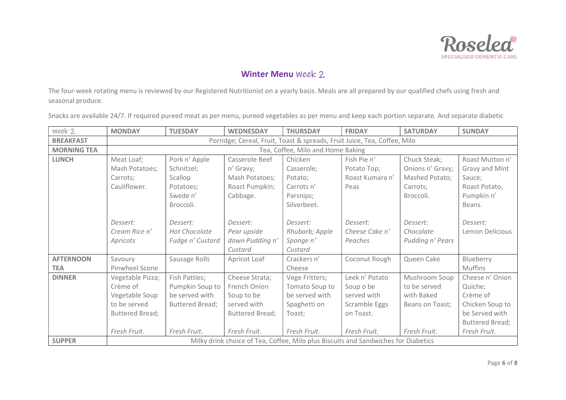

The four-week rotating menu is reviewed by our Registered Nutritionist on a yearly basis. Meals are all prepared by our qualified chefs using fresh and seasonal produce.

| Week 2             | <b>MONDAY</b>                                                            | <b>TUESDAY</b>         | <b>WEDNESDAY</b>       | <b>THURSDAY</b>                                                                    | <b>FRIDAY</b>   | <b>SATURDAY</b>  | <b>SUNDAY</b>          |  |  |  |
|--------------------|--------------------------------------------------------------------------|------------------------|------------------------|------------------------------------------------------------------------------------|-----------------|------------------|------------------------|--|--|--|
| <b>BREAKFAST</b>   | Porridge; Cereal, Fruit, Toast & spreads, Fruit Juice, Tea, Coffee, Milo |                        |                        |                                                                                    |                 |                  |                        |  |  |  |
| <b>MORNING TEA</b> | Tea, Coffee, Milo and Home Baking                                        |                        |                        |                                                                                    |                 |                  |                        |  |  |  |
| <b>LUNCH</b>       | Meat Loaf;                                                               | Pork n' Apple          | Casserole Beef         | Chicken                                                                            | Fish Pie n'     | Chuck Steak;     | Roast Mutton n'        |  |  |  |
|                    | Mash Potatoes;                                                           | Schnitzel;             | n' Gravy;              | Casserole;                                                                         | Potato Top;     | Onions n' Gravy; | Gravy and Mint         |  |  |  |
|                    | Carrots;                                                                 | Scallop                | Mash Potatoes;         | Potato;                                                                            | Roast Kumara n' | Mashed Potato;   | Sauce;                 |  |  |  |
|                    | Cauliflower.                                                             | Potatoes;              | Roast Pumpkin;         | Carrots n'                                                                         | Peas            | Carrots;         | Roast Potato,          |  |  |  |
|                    |                                                                          | Swede n'               | Cabbage.               | Parsnips;                                                                          |                 | Broccoli.        | Pumpkin n'             |  |  |  |
|                    |                                                                          | Broccoli.              |                        | Silverbeet.                                                                        |                 |                  | Beans.                 |  |  |  |
|                    |                                                                          |                        |                        |                                                                                    |                 |                  |                        |  |  |  |
|                    | Dessert:                                                                 | Dessert:               | Dessert:               | Dessert:                                                                           | Dessert:        | Dessert:         | Dessert:               |  |  |  |
|                    | Cream Rice n'                                                            | Hot Chocolate          | Pear upside            | Rhubarb; Apple                                                                     | Cheese Cake n'  | Chocolate        | Lemon Delicious        |  |  |  |
|                    | Apricots                                                                 | Fudge n' Custard       | down Pudding n'        | Sponge n'                                                                          | Peaches         | Pudding n' Pears |                        |  |  |  |
|                    |                                                                          |                        | Custard                | Custard                                                                            |                 |                  |                        |  |  |  |
| <b>AFTERNOON</b>   | Savoury                                                                  | Sausage Rolls          | Apricot Loaf           | Crackers n'                                                                        | Coconut Rough   | Queen Cake       | Blueberry              |  |  |  |
| <b>TEA</b>         | Pinwheel Scone                                                           |                        |                        | Cheese                                                                             |                 |                  | Muffins                |  |  |  |
| <b>DINNER</b>      | Vegetable Pizza;                                                         | Fish Patties;          | Cheese Strata;         | Vege Fritters;                                                                     | Leek n' Potato  | Mushroom Soup    | Cheese n' Onion        |  |  |  |
|                    | Crème of                                                                 | Pumpkin Soup to        | French Onion           | Tomato Soup to                                                                     | Soup o be       | to be served     | Quiche;                |  |  |  |
|                    | Vegetable Soup                                                           | be served with         | Soup to be             | be served with                                                                     | served with     | with Baked       | Crème of               |  |  |  |
|                    | to be served                                                             | <b>Buttered Bread;</b> | served with            | Spaghetti on                                                                       | Scramble Eggs   | Beans on Toast;  | Chicken Soup to        |  |  |  |
|                    | <b>Buttered Bread;</b>                                                   |                        | <b>Buttered Bread;</b> | Toast;                                                                             | on Toast.       |                  | be Served with         |  |  |  |
|                    |                                                                          |                        |                        |                                                                                    |                 |                  | <b>Buttered Bread;</b> |  |  |  |
|                    | Fresh Fruit.                                                             | Fresh Fruit.           | Fresh Fruit.           | Fresh Fruit.                                                                       | Fresh Fruit.    | Fresh Fruit.     | Fresh Fruit.           |  |  |  |
| <b>SUPPER</b>      |                                                                          |                        |                        | Milky drink choice of Tea, Coffee, Milo plus Biscuits and Sandwiches for Diabetics |                 |                  |                        |  |  |  |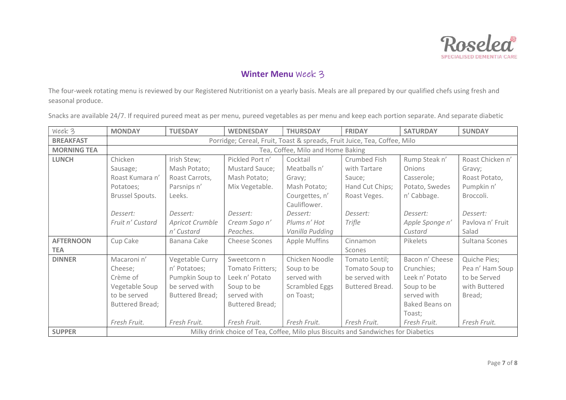

The four-week rotating menu is reviewed by our Registered Nutritionist on a yearly basis. Meals are all prepared by our qualified chefs using fresh and seasonal produce.

| Week 3             | <b>MONDAY</b>                                                            | <b>TUESDAY</b>         | <b>WEDNESDAY</b>       | <b>THURSDAY</b>       | <b>FRIDAY</b>                                                                      | <b>SATURDAY</b>       | <b>SUNDAY</b>    |  |  |  |
|--------------------|--------------------------------------------------------------------------|------------------------|------------------------|-----------------------|------------------------------------------------------------------------------------|-----------------------|------------------|--|--|--|
| <b>BREAKFAST</b>   | Porridge; Cereal, Fruit, Toast & spreads, Fruit Juice, Tea, Coffee, Milo |                        |                        |                       |                                                                                    |                       |                  |  |  |  |
| <b>MORNING TEA</b> | Tea, Coffee, Milo and Home Baking                                        |                        |                        |                       |                                                                                    |                       |                  |  |  |  |
| <b>LUNCH</b>       | Chicken                                                                  | Irish Stew;            | Pickled Port n'        | Cocktail              | Crumbed Fish                                                                       | Rump Steak n'         | Roast Chicken n' |  |  |  |
|                    | Sausage;                                                                 | Mash Potato;           | Mustard Sauce;         | Meatballs n'          | with Tartare                                                                       | Onions                | Gravy;           |  |  |  |
|                    | Roast Kumara n'                                                          | Roast Carrots,         | Mash Potato;           | Gravy;                | Sauce;                                                                             | Casserole;            | Roast Potato,    |  |  |  |
|                    | Potatoes;                                                                | Parsnips n'            | Mix Vegetable.         | Mash Potato;          | Hand Cut Chips;                                                                    | Potato, Swedes        | Pumpkin n'       |  |  |  |
|                    | <b>Brussel Spouts.</b>                                                   | Leeks.                 |                        | Courgettes, n'        | Roast Veges.                                                                       | n' Cabbage.           | Broccoli.        |  |  |  |
|                    |                                                                          |                        |                        | Cauliflower.          |                                                                                    |                       |                  |  |  |  |
|                    | Dessert:                                                                 | Dessert:               | Dessert:               | Dessert:              | Dessert:                                                                           | Dessert:              | Dessert:         |  |  |  |
|                    | Fruit n' Custard                                                         | Apricot Crumble        | Cream Sago n'          | Plums n' Hot          | Trifle                                                                             | Apple Sponge n'       | Pavlova n' Fruit |  |  |  |
|                    |                                                                          | n' Custard             | Peaches.               | Vanilla Pudding       |                                                                                    | Custard               | Salad            |  |  |  |
| <b>AFTERNOON</b>   | Cup Cake                                                                 | Banana Cake            | <b>Cheese Scones</b>   | <b>Apple Muffins</b>  | Cinnamon                                                                           | Pikelets              | Sultana Scones   |  |  |  |
| <b>TEA</b>         |                                                                          |                        |                        |                       | Scones                                                                             |                       |                  |  |  |  |
| <b>DINNER</b>      | Macaroni n'                                                              | Vegetable Curry        | Sweetcorn n            | Chicken Noodle        | Tomato Lentil;                                                                     | Bacon n' Cheese       | Quiche Pies;     |  |  |  |
|                    | Cheese;                                                                  | n' Potatoes;           | Tomato Fritters;       | Soup to be            | Tomato Soup to                                                                     | Crunchies;            | Pea n' Ham Soup  |  |  |  |
|                    | Crème of                                                                 | Pumpkin Soup to        | Leek n' Potato         | served with           | be served with                                                                     | Leek n' Potato        | to be Served     |  |  |  |
|                    | Vegetable Soup                                                           | be served with         | Soup to be             | <b>Scrambled Eggs</b> | Buttered Bread.                                                                    | Soup to be            | with Buttered    |  |  |  |
|                    | to be served                                                             | <b>Buttered Bread;</b> | served with            | on Toast;             |                                                                                    | served with           | Bread;           |  |  |  |
|                    | Buttered Bread;                                                          |                        | <b>Buttered Bread;</b> |                       |                                                                                    | <b>Baked Beans on</b> |                  |  |  |  |
|                    |                                                                          |                        |                        |                       |                                                                                    | Toast;                |                  |  |  |  |
|                    | Fresh Fruit.                                                             | Fresh Fruit.           | Fresh Fruit.           | Fresh Fruit.          | Fresh Fruit.                                                                       | Fresh Fruit.          | Fresh Fruit.     |  |  |  |
| <b>SUPPER</b>      |                                                                          |                        |                        |                       | Milky drink choice of Tea, Coffee, Milo plus Biscuits and Sandwiches for Diabetics |                       |                  |  |  |  |